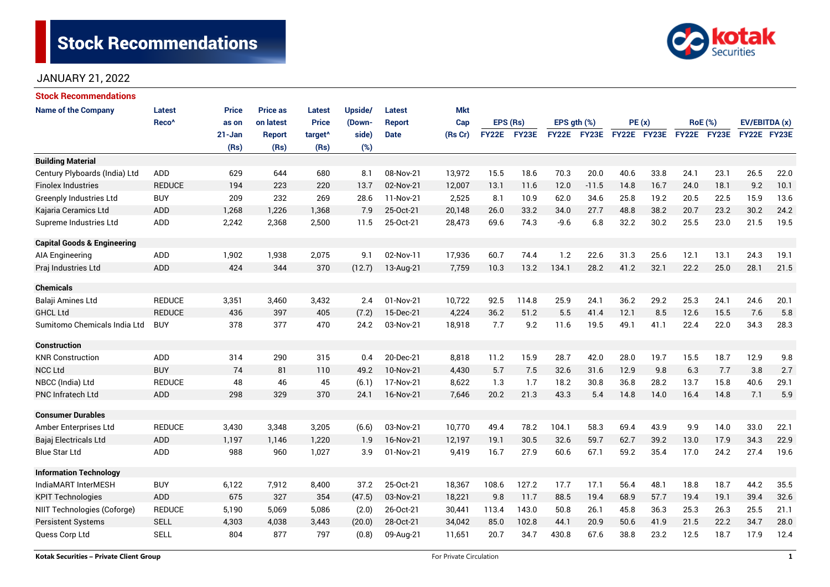# **Stock Recommendations**



# JANUARY 21, 2022

| <b>Stock Recommendations</b>           |                   |              |                 |                     |         |               |            |              |          |                  |             |             |      |             |                |               |      |
|----------------------------------------|-------------------|--------------|-----------------|---------------------|---------|---------------|------------|--------------|----------|------------------|-------------|-------------|------|-------------|----------------|---------------|------|
| <b>Name of the Company</b>             | <b>Latest</b>     | <b>Price</b> | <b>Price as</b> | Latest              | Upside/ | Latest        | <b>Mkt</b> |              |          |                  |             |             |      |             |                |               |      |
|                                        | Reco <sup>^</sup> | as on        | on latest       | <b>Price</b>        | (Down-  | <b>Report</b> | Cap        |              | EPS (Rs) | EPS $qth$ $(\%)$ |             | PE(x)       |      |             | <b>RoE</b> (%) | EV/EBITDA (x) |      |
|                                        |                   | $21 - Jan$   | <b>Report</b>   | target <sup>^</sup> | side)   | <b>Date</b>   | (Rs Cr)    | <b>FY22E</b> | FY23E    |                  | FY22E FY23E | FY22E FY23E |      | FY22E FY23E |                | FY22E FY23E   |      |
|                                        |                   | (Rs)         | (Rs)            | (Rs)                | (%)     |               |            |              |          |                  |             |             |      |             |                |               |      |
| <b>Building Material</b>               |                   |              |                 |                     |         |               |            |              |          |                  |             |             |      |             |                |               |      |
| Century Plyboards (India) Ltd          | <b>ADD</b>        | 629          | 644             | 680                 | 8.1     | 08-Nov-21     | 13,972     | 15.5         | 18.6     | 70.3             | 20.0        | 40.6        | 33.8 | 24.1        | 23.1           | 26.5          | 22.0 |
| <b>Finolex Industries</b>              | <b>REDUCE</b>     | 194          | 223             | 220                 | 13.7    | 02-Nov-21     | 12,007     | 13.1         | 11.6     | 12.0             | $-11.5$     | 14.8        | 16.7 | 24.0        | 18.1           | 9.2           | 10.1 |
| <b>Greenply Industries Ltd</b>         | <b>BUY</b>        | 209          | 232             | 269                 | 28.6    | 11-Nov-21     | 2,525      | 8.1          | 10.9     | 62.0             | 34.6        | 25.8        | 19.2 | 20.5        | 22.5           | 15.9          | 13.6 |
| Kajaria Ceramics Ltd                   | <b>ADD</b>        | 1,268        | 1,226           | 1,368               | 7.9     | 25-Oct-21     | 20,148     | 26.0         | 33.2     | 34.0             | 27.7        | 48.8        | 38.2 | 20.7        | 23.2           | 30.2          | 24.2 |
| Supreme Industries Ltd                 | ADD               | 2,242        | 2,368           | 2,500               | 11.5    | 25-Oct-21     | 28,473     | 69.6         | 74.3     | $-9.6$           | 6.8         | 32.2        | 30.2 | 25.5        | 23.0           | 21.5          | 19.5 |
| <b>Capital Goods &amp; Engineering</b> |                   |              |                 |                     |         |               |            |              |          |                  |             |             |      |             |                |               |      |
| <b>AIA Engineering</b>                 | <b>ADD</b>        | 1,902        | 1,938           | 2,075               | 9.1     | 02-Nov-11     | 17,936     | 60.7         | 74.4     | 1.2              | 22.6        | 31.3        | 25.6 | 12.1        | 13.1           | 24.3          | 19.1 |
| Praj Industries Ltd                    | <b>ADD</b>        | 424          | 344             | 370                 | (12.7)  | 13-Aug-21     | 7,759      | 10.3         | 13.2     | 134.1            | 28.2        | 41.2        | 32.1 | 22.2        | 25.0           | 28.1          | 21.5 |
| <b>Chemicals</b>                       |                   |              |                 |                     |         |               |            |              |          |                  |             |             |      |             |                |               |      |
| Balaji Amines Ltd                      | <b>REDUCE</b>     | 3,351        | 3,460           | 3,432               | 2.4     | 01-Nov-21     | 10,722     | 92.5         | 114.8    | 25.9             | 24.1        | 36.2        | 29.2 | 25.3        | 24.1           | 24.6          | 20.1 |
| <b>GHCL Ltd</b>                        | <b>REDUCE</b>     | 436          | 397             | 405                 | (7.2)   | 15-Dec-21     | 4,224      | 36.2         | 51.2     | 5.5              | 41.4        | 12.1        | 8.5  | 12.6        | 15.5           | 7.6           | 5.8  |
| Sumitomo Chemicals India Ltd           | <b>BUY</b>        | 378          | 377             | 470                 | 24.2    | 03-Nov-21     | 18,918     | 7.7          | 9.2      | 11.6             | 19.5        | 49.1        | 41.1 | 22.4        | 22.0           | 34.3          | 28.3 |
| Construction                           |                   |              |                 |                     |         |               |            |              |          |                  |             |             |      |             |                |               |      |
| <b>KNR Construction</b>                | <b>ADD</b>        | 314          | 290             | 315                 | 0.4     | 20-Dec-21     | 8,818      | 11.2         | 15.9     | 28.7             | 42.0        | 28.0        | 19.7 | 15.5        | 18.7           | 12.9          | 9.8  |
| <b>NCC Ltd</b>                         | <b>BUY</b>        | 74           | 81              | 110                 | 49.2    | 10-Nov-21     | 4,430      | 5.7          | 7.5      | 32.6             | 31.6        | 12.9        | 9.8  | 6.3         | 7.7            | 3.8           | 2.7  |
| NBCC (India) Ltd                       | <b>REDUCE</b>     | 48           | 46              | 45                  | (6.1)   | 17-Nov-21     | 8,622      | 1.3          | 1.7      | 18.2             | 30.8        | 36.8        | 28.2 | 13.7        | 15.8           | 40.6          | 29.1 |
| <b>PNC Infratech Ltd</b>               | <b>ADD</b>        | 298          | 329             | 370                 | 24.1    | 16-Nov-21     | 7.646      | 20.2         | 21.3     | 43.3             | 5.4         | 14.8        | 14.0 | 16.4        | 14.8           | 7.1           | 5.9  |
| <b>Consumer Durables</b>               |                   |              |                 |                     |         |               |            |              |          |                  |             |             |      |             |                |               |      |
| Amber Enterprises Ltd                  | <b>REDUCE</b>     | 3,430        | 3,348           | 3,205               | (6.6)   | 03-Nov-21     | 10,770     | 49.4         | 78.2     | 104.1            | 58.3        | 69.4        | 43.9 | 9.9         | 14.0           | 33.0          | 22.1 |
| Bajaj Electricals Ltd                  | <b>ADD</b>        | 1,197        | 1,146           | 1,220               | 1.9     | 16-Nov-21     | 12,197     | 19.1         | 30.5     | 32.6             | 59.7        | 62.7        | 39.2 | 13.0        | 17.9           | 34.3          | 22.9 |
| <b>Blue Star Ltd</b>                   | ADD               | 988          | 960             | 1,027               | 3.9     | 01-Nov-21     | 9,419      | 16.7         | 27.9     | 60.6             | 67.1        | 59.2        | 35.4 | 17.0        | 24.2           | 27.4          | 19.6 |
| <b>Information Technology</b>          |                   |              |                 |                     |         |               |            |              |          |                  |             |             |      |             |                |               |      |
| IndiaMART InterMESH                    | <b>BUY</b>        | 6,122        | 7,912           | 8,400               | 37.2    | 25-Oct-21     | 18,367     | 108.6        | 127.2    | 17.7             | 17.1        | 56.4        | 48.1 | 18.8        | 18.7           | 44.2          | 35.5 |
| <b>KPIT Technologies</b>               | <b>ADD</b>        | 675          | 327             | 354                 | (47.5)  | 03-Nov-21     | 18,221     | 9.8          | 11.7     | 88.5             | 19.4        | 68.9        | 57.7 | 19.4        | 19.1           | 39.4          | 32.6 |
| NIIT Technologies (Coforge)            | <b>REDUCE</b>     | 5,190        | 5,069           | 5,086               | (2.0)   | 26-Oct-21     | 30,441     | 113.4        | 143.0    | 50.8             | 26.1        | 45.8        | 36.3 | 25.3        | 26.3           | 25.5          | 21.1 |
| <b>Persistent Systems</b>              | <b>SELL</b>       | 4,303        | 4,038           | 3,443               | (20.0)  | 28-Oct-21     | 34,042     | 85.0         | 102.8    | 44.1             | 20.9        | 50.6        | 41.9 | 21.5        | 22.2           | 34.7          | 28.0 |
| Quess Corp Ltd                         | <b>SELL</b>       | 804          | 877             | 797                 | (0.8)   | 09-Aug-21     | 11,651     | 20.7         | 34.7     | 430.8            | 67.6        | 38.8        | 23.2 | 12.5        | 18.7           | 17.9          | 12.4 |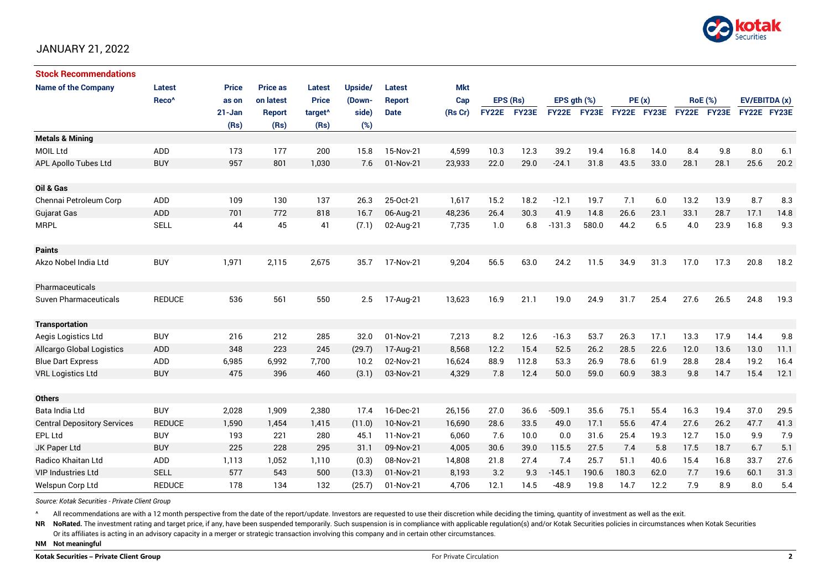

# JANUARY 21, 2022

| <b>Stock Recommendations</b>       |                   |              |                 |                     |         |               |            |              |       |                  |              |             |      |                |      |               |      |
|------------------------------------|-------------------|--------------|-----------------|---------------------|---------|---------------|------------|--------------|-------|------------------|--------------|-------------|------|----------------|------|---------------|------|
| <b>Name of the Company</b>         | Latest            | <b>Price</b> | <b>Price as</b> | Latest              | Upside/ | Latest        | <b>Mkt</b> |              |       |                  |              |             |      |                |      |               |      |
|                                    | Reco <sup>^</sup> | as on        | on latest       | <b>Price</b>        | (Down-  | <b>Report</b> | Cap        | EPS (Rs)     |       | EPS $qth$ $(\%)$ |              | PE(x)       |      | <b>RoE</b> (%) |      | EV/EBITDA (x) |      |
|                                    |                   | $21 - Jan$   | <b>Report</b>   | target <sup>^</sup> | side)   | <b>Date</b>   | (Rs Cr)    | <b>FY22E</b> | FY23E | <b>FY22E</b>     | <b>FY23E</b> | FY22E FY23E |      | FY22E FY23E    |      | FY22E FY23E   |      |
|                                    |                   | (Rs)         | (Rs)            | (Rs)                | (%)     |               |            |              |       |                  |              |             |      |                |      |               |      |
| <b>Metals &amp; Mining</b>         |                   |              |                 |                     |         |               |            |              |       |                  |              |             |      |                |      |               |      |
| <b>MOIL Ltd</b>                    | ADD               | 173          | 177             | 200                 | 15.8    | 15-Nov-21     | 4,599      | 10.3         | 12.3  | 39.2             | 19.4         | 16.8        | 14.0 | 8.4            | 9.8  | 8.0           | 6.1  |
| APL Apollo Tubes Ltd               | <b>BUY</b>        | 957          | 801             | 1,030               | 7.6     | 01-Nov-21     | 23,933     | 22.0         | 29.0  | $-24.1$          | 31.8         | 43.5        | 33.0 | 28.1           | 28.1 | 25.6          | 20.2 |
|                                    |                   |              |                 |                     |         |               |            |              |       |                  |              |             |      |                |      |               |      |
| Oil & Gas                          |                   |              |                 |                     |         |               |            |              |       |                  |              |             |      |                |      |               |      |
| Chennai Petroleum Corp             | ADD               | 109          | 130             | 137                 | 26.3    | 25-Oct-21     | 1,617      | 15.2         | 18.2  | $-12.1$          | 19.7         | 7.1         | 6.0  | 13.2           | 13.9 | 8.7           | 8.3  |
| <b>Gujarat Gas</b>                 | ADD               | 701          | 772             | 818                 | 16.7    | 06-Aug-21     | 48,236     | 26.4         | 30.3  | 41.9             | 14.8         | 26.6        | 23.1 | 33.1           | 28.7 | 17.1          | 14.8 |
| <b>MRPL</b>                        | <b>SELL</b>       | 44           | 45              | 41                  | (7.1)   | 02-Aug-21     | 7,735      | 1.0          | 6.8   | $-131.3$         | 580.0        | 44.2        | 6.5  | 4.0            | 23.9 | 16.8          | 9.3  |
|                                    |                   |              |                 |                     |         |               |            |              |       |                  |              |             |      |                |      |               |      |
| <b>Paints</b>                      |                   |              |                 |                     |         |               |            |              |       |                  |              |             |      |                |      |               |      |
| Akzo Nobel India Ltd               | <b>BUY</b>        | 1,971        | 2,115           | 2,675               | 35.7    | 17-Nov-21     | 9,204      | 56.5         | 63.0  | 24.2             | 11.5         | 34.9        | 31.3 | 17.0           | 17.3 | 20.8          | 18.2 |
|                                    |                   |              |                 |                     |         |               |            |              |       |                  |              |             |      |                |      |               |      |
| Pharmaceuticals                    |                   |              |                 |                     |         |               |            |              |       |                  |              |             |      |                |      |               |      |
| Suven Pharmaceuticals              | <b>REDUCE</b>     | 536          | 561             | 550                 | 2.5     | 17-Aug-21     | 13,623     | 16.9         | 21.1  | 19.0             | 24.9         | 31.7        | 25.4 | 27.6           | 26.5 | 24.8          | 19.3 |
|                                    |                   |              |                 |                     |         |               |            |              |       |                  |              |             |      |                |      |               |      |
| <b>Transportation</b>              |                   |              |                 |                     |         |               |            |              |       |                  |              |             |      |                |      |               |      |
| Aegis Logistics Ltd                | <b>BUY</b>        | 216          | 212             | 285                 | 32.0    | 01-Nov-21     | 7,213      | 8.2          | 12.6  | $-16.3$          | 53.7         | 26.3        | 17.1 | 13.3           | 17.9 | 14.4          | 9.8  |
| <b>Allcargo Global Logistics</b>   | ADD               | 348          | 223             | 245                 | (29.7)  | 17-Aug-21     | 8,568      | 12.2         | 15.4  | 52.5             | 26.2         | 28.5        | 22.6 | 12.0           | 13.6 | 13.0          | 11.1 |
| <b>Blue Dart Express</b>           | ADD               | 6,985        | 6,992           | 7,700               | 10.2    | 02-Nov-21     | 16,624     | 88.9         | 112.8 | 53.3             | 26.9         | 78.6        | 61.9 | 28.8           | 28.4 | 19.2          | 16.4 |
| <b>VRL Logistics Ltd</b>           | <b>BUY</b>        | 475          | 396             | 460                 | (3.1)   | 03-Nov-21     | 4,329      | 7.8          | 12.4  | 50.0             | 59.0         | 60.9        | 38.3 | 9.8            | 14.7 | 15.4          | 12.1 |
|                                    |                   |              |                 |                     |         |               |            |              |       |                  |              |             |      |                |      |               |      |
| <b>Others</b>                      |                   |              |                 |                     |         |               |            |              |       |                  |              |             |      |                |      |               |      |
| Bata India Ltd                     | <b>BUY</b>        | 2,028        | 1,909           | 2,380               | 17.4    | 16-Dec-21     | 26,156     | 27.0         | 36.6  | $-509.1$         | 35.6         | 75.1        | 55.4 | 16.3           | 19.4 | 37.0          | 29.5 |
| <b>Central Depository Services</b> | <b>REDUCE</b>     | 1,590        | 1,454           | 1,415               | (11.0)  | 10-Nov-21     | 16,690     | 28.6         | 33.5  | 49.0             | 17.1         | 55.6        | 47.4 | 27.6           | 26.2 | 47.7          | 41.3 |
| <b>EPL Ltd</b>                     | <b>BUY</b>        | 193          | 221             | 280                 | 45.1    | 11-Nov-21     | 6,060      | 7.6          | 10.0  | 0.0              | 31.6         | 25.4        | 19.3 | 12.7           | 15.0 | 9.9           | 7.9  |
| JK Paper Ltd                       | <b>BUY</b>        | 225          | 228             | 295                 | 31.1    | 09-Nov-21     | 4,005      | 30.6         | 39.0  | 115.5            | 27.5         | 7.4         | 5.8  | 17.5           | 18.7 | 6.7           | 5.1  |
| <b>Radico Khaitan Ltd</b>          | ADD               | 1,113        | 1,052           | 1,110               | (0.3)   | 08-Nov-21     | 14,808     | 21.8         | 27.4  | 7.4              | 25.7         | 51.1        | 40.6 | 15.4           | 16.8 | 33.7          | 27.6 |
| <b>VIP Industries Ltd</b>          | <b>SELL</b>       | 577          | 543             | 500                 | (13.3)  | 01-Nov-21     | 8,193      | 3.2          | 9.3   | $-145.1$         | 190.6        | 180.3       | 62.0 | 7.7            | 19.6 | 60.1          | 31.3 |
| Welspun Corp Ltd                   | <b>REDUCE</b>     | 178          | 134             | 132                 | (25.7)  | 01-Nov-21     | 4,706      | 12.1         | 14.5  | $-48.9$          | 19.8         | 14.7        | 12.2 | 7.9            | 8.9  | 8.0           | 5.4  |

*Source: Kotak Securities - Private Client Group*

All recommendations are with a 12 month perspective from the date of the report/update. Investors are requested to use their discretion while deciding the timing, quantity of investment as well as the exit.

NR NoRated. The investment rating and target price, if any, have been suspended temporarily. Such suspension is in compliance with applicable regulation(s) and/or Kotak Securities policies in circumstances when Kotak Secur

Or its affiliates is acting in an advisory capacity in a merger or strategic transaction involving this company and in certain other circumstances.

**NM Not meaningful**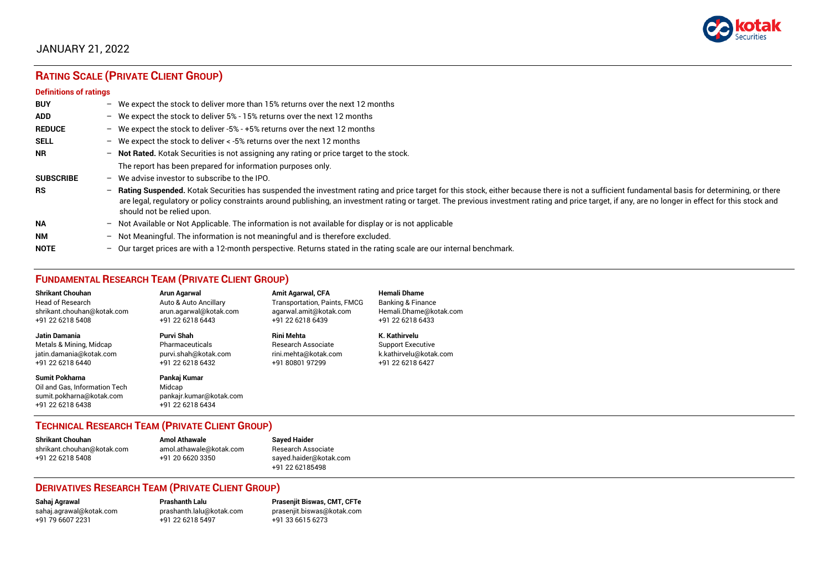

# JANUARY 21, 2022

# **RATING SCALE (PRIVATE CLIENT GROUP)**

#### **Definitions of ratings**

| <b>BUY</b>       | - We expect the stock to deliver more than 15% returns over the next 12 months                                                                                                                                                                                                                                                                                                                                                     |
|------------------|------------------------------------------------------------------------------------------------------------------------------------------------------------------------------------------------------------------------------------------------------------------------------------------------------------------------------------------------------------------------------------------------------------------------------------|
| <b>ADD</b>       | - We expect the stock to deliver 5% - 15% returns over the next 12 months                                                                                                                                                                                                                                                                                                                                                          |
| <b>REDUCE</b>    | - We expect the stock to deliver -5% - +5% returns over the next 12 months                                                                                                                                                                                                                                                                                                                                                         |
| <b>SELL</b>      | - We expect the stock to deliver $\lt$ -5% returns over the next 12 months                                                                                                                                                                                                                                                                                                                                                         |
| <b>NR</b>        | - Not Rated. Kotak Securities is not assigning any rating or price target to the stock.                                                                                                                                                                                                                                                                                                                                            |
|                  | The report has been prepared for information purposes only.                                                                                                                                                                                                                                                                                                                                                                        |
| <b>SUBSCRIBE</b> | $-$ We advise investor to subscribe to the IPO.                                                                                                                                                                                                                                                                                                                                                                                    |
| <b>RS</b>        | - Rating Suspended. Kotak Securities has suspended the investment rating and price target for this stock, either because there is not a sufficient fundamental basis for determining, or there<br>are legal, regulatory or policy constraints around publishing, an investment rating or target. The previous investment rating and price target, if any, are no longer in effect for this stock and<br>should not be relied upon. |
| <b>NA</b>        | - Not Available or Not Applicable. The information is not available for display or is not applicable                                                                                                                                                                                                                                                                                                                               |
| <b>NM</b>        | - Not Meaningful. The information is not meaningful and is therefore excluded.                                                                                                                                                                                                                                                                                                                                                     |
| <b>NOTE</b>      | $-$ Our target prices are with a 12-month perspective. Returns stated in the rating scale are our internal benchmark.                                                                                                                                                                                                                                                                                                              |

# **FUNDAMENTAL RESEARCH TEAM (PRIVATE CLIENT GROUP)**

| <b>Shrikant Chouhan</b>                                                                         | Arun Agarwal                                                          | <b>Amit Agarwal, CFA</b>            | Hemali Dhame             |
|-------------------------------------------------------------------------------------------------|-----------------------------------------------------------------------|-------------------------------------|--------------------------|
| <b>Head of Research</b>                                                                         | Auto & Auto Ancillary                                                 | <b>Transportation, Paints, FMCG</b> | Banking & Finance        |
| shrikant.chouhan@kotak.com                                                                      | arun.agarwal@kotak.com                                                | agarwal.amit@kotak.com              | Hemali.Dhame@kotak.com   |
| +91 22 6218 5408                                                                                | +91 22 6218 6443                                                      | +91 22 6218 6439                    | +91 22 6218 6433         |
| <b>Jatin Damania</b>                                                                            | Purvi Shah                                                            | <b>Rini Mehta</b>                   | K. Kathirvelu            |
| Metals & Mining, Midcap                                                                         | Pharmaceuticals                                                       | <b>Research Associate</b>           | <b>Support Executive</b> |
| jatin.damania@kotak.com                                                                         | purvi.shah@kotak.com                                                  | rini.mehta@kotak.com                | k.kathirvelu@kotak.com   |
| +91 22 6218 6440                                                                                | +91 22 6218 6432                                                      | +91 80801 97299                     | +91 22 6218 6427         |
| Sumit Pokharna<br>Oil and Gas. Information Tech<br>sumit.pokharna@kotak.com<br>+91 22 6218 6438 | Pankaj Kumar<br>Midcap<br>pankajr.kumar@kotak.com<br>+91 22 6218 6434 |                                     |                          |

# **TECHNICAL RESEARCH TEAM (PRIVATE CLIENT GROUP)**

| Shrikant Chouhan           | <b>Amol Athawale</b>    | <b>Sayed Haider</b>    |
|----------------------------|-------------------------|------------------------|
| shrikant.chouhan@kotak.com | amol.athawale@kotak.com | Research Associate     |
| +91 22 6218 5408           | +91 20 6620 3350        | sayed.haider@kotak.com |
|                            |                         | +91 22 62185498        |

#### **DERIVATIVES RESEARCH TEAM (PRIVATE CLIENT GROUP)**

+91 22 6218 5497 +91 33 6615 6273

**Sahaj Agrawal Prashanth Lalu Prasenjit Biswas, CMT, CFTe** [sahaj.agrawal@kotak.com](mailto:sahaj.agrawal@kotak.com) [prashanth.lalu@kotak.com](mailto:prashanth.lalu@kotak.com) [prasenjit.biswas@kotak.com](mailto:prasenjit.biswas@kotak.com)